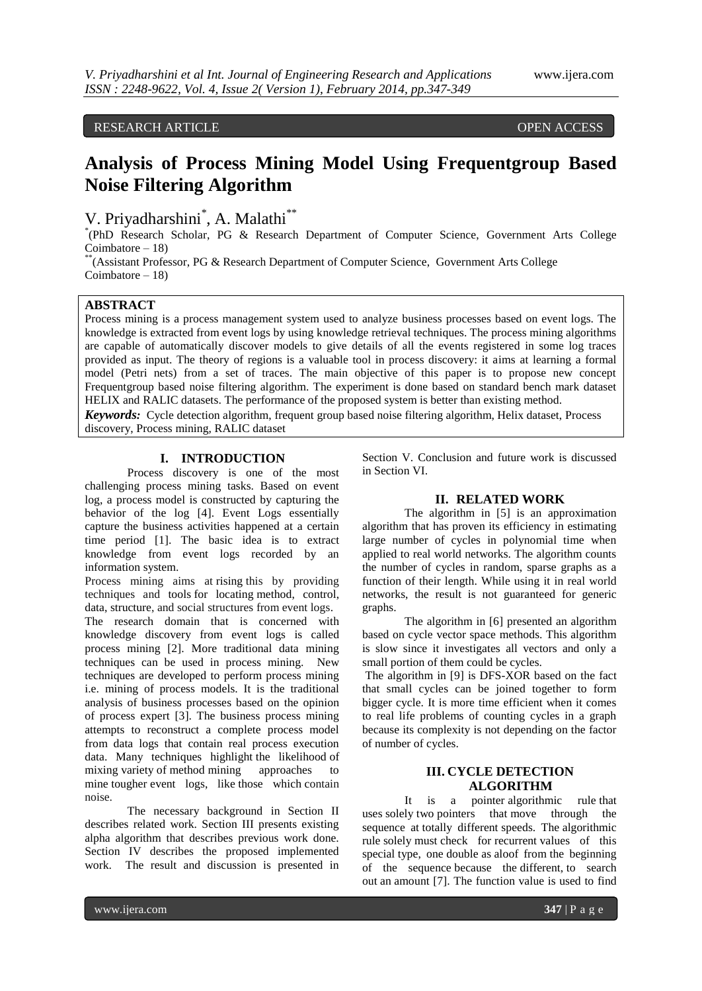## RESEARCH ARTICLE OPEN ACCESS

# **Analysis of Process Mining Model Using Frequentgroup Based Noise Filtering Algorithm**

## V. Priyadharshini\*, A. Malathi\*\*

\* (PhD Research Scholar, PG & Research Department of Computer Science, Government Arts College Coimbatore – 18)

\*\* (Assistant Professor, PG & Research Department of Computer Science, Government Arts College Coimbatore – 18)

## **ABSTRACT**

Process mining is a process management system used to analyze business processes based on event logs. The knowledge is extracted from event logs by using knowledge retrieval techniques. The process mining algorithms are capable of automatically discover models to give details of all the events registered in some log traces provided as input. The theory of regions is a valuable tool in process discovery: it aims at learning a formal model (Petri nets) from a set of traces. The main objective of this paper is to propose new concept Frequentgroup based noise filtering algorithm. The experiment is done based on standard bench mark dataset HELIX and RALIC datasets. The performance of the proposed system is better than existing method.

*Keywords:* Cycle detection algorithm, frequent group based noise filtering algorithm, Helix dataset, Process discovery, Process mining, RALIC dataset

#### **I. INTRODUCTION**

Process discovery is one of the most challenging process mining tasks. Based on event log, a process model is constructed by capturing the behavior of the log [4]. Event Logs essentially capture the business activities happened at a certain time period [1]. The basic idea is to extract knowledge from event logs recorded by an information system.

Process mining aims at rising this by providing techniques and tools for locating method, control, data, structure, and social structures from event logs.

The research domain that is concerned with knowledge discovery from event logs is called process mining [2]. More traditional data mining techniques can be used in process mining. New techniques are developed to perform process mining i.e. mining of process models. It is the traditional analysis of business processes based on the opinion of process expert [3]. The business process mining attempts to reconstruct a complete process model from data logs that contain real process execution data. Many techniques highlight the likelihood of mixing variety of method mining approaches to mine tougher event logs, like those which contain noise.

The necessary background in Section II describes related work. Section III presents existing alpha algorithm that describes previous work done. Section IV describes the proposed implemented work. The result and discussion is presented in

Section V. Conclusion and future work is discussed in Section VI.

#### **II. RELATED WORK**

The algorithm in [5] is an approximation algorithm that has proven its efficiency in estimating large number of cycles in polynomial time when applied to real world networks. The algorithm counts the number of cycles in random, sparse graphs as a function of their length. While using it in real world networks, the result is not guaranteed for generic graphs.

The algorithm in [6] presented an algorithm based on cycle vector space methods. This algorithm is slow since it investigates all vectors and only a small portion of them could be cycles.

The algorithm in [9] is DFS-XOR based on the fact that small cycles can be joined together to form bigger cycle. It is more time efficient when it comes to real life problems of counting cycles in a graph because its complexity is not depending on the factor of number of cycles.

### **III. CYCLE DETECTION ALGORITHM**

It is a pointer algorithmic rule that uses solely two pointers that move through the sequence at totally different speeds. The algorithmic rule solely must check for recurrent values of this special type, one double as aloof from the beginning of the sequence because the different, to search out an amount [7]. The function value is used to find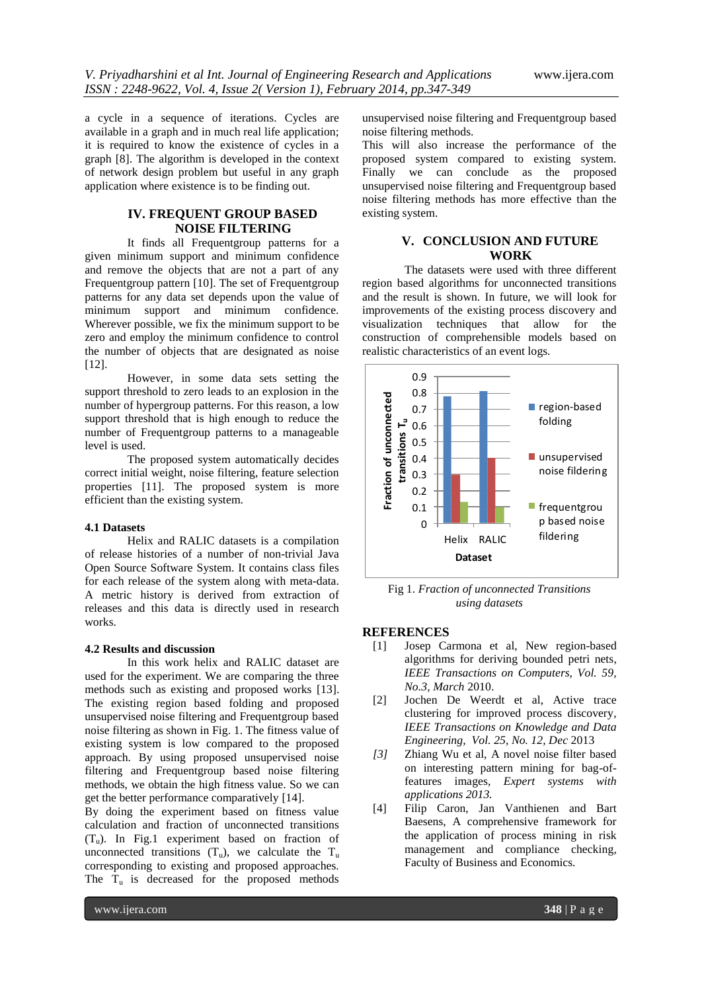a cycle in a sequence of iterations. Cycles are available in a graph and in much real life application; it is required to know the existence of cycles in a graph [8]. The algorithm is developed in the context of network design problem but useful in any graph application where existence is to be finding out.

## **IV. FREQUENT GROUP BASED NOISE FILTERING**

It finds all Frequentgroup patterns for a given minimum support and minimum confidence and remove the objects that are not a part of any Frequentgroup pattern [10]. The set of Frequentgroup patterns for any data set depends upon the value of minimum support and minimum confidence. Wherever possible, we fix the minimum support to be zero and employ the minimum confidence to control the number of objects that are designated as noise [12].

However, in some data sets setting the support threshold to zero leads to an explosion in the number of hypergroup patterns. For this reason, a low support threshold that is high enough to reduce the number of Frequentgroup patterns to a manageable level is used.

The proposed system automatically decides correct initial weight, noise filtering, feature selection properties [11]. The proposed system is more efficient than the existing system.

#### **4.1 Datasets**

Helix and RALIC datasets is a compilation of release histories of a number of non-trivial Java Open Source Software System. It contains class files for each release of the system along with meta-data. A metric history is derived from extraction of releases and this data is directly used in research works.

#### **4.2 Results and discussion**

In this work helix and RALIC dataset are used for the experiment. We are comparing the three methods such as existing and proposed works [13]. The existing region based folding and proposed unsupervised noise filtering and Frequentgroup based noise filtering as shown in Fig. 1. The fitness value of existing system is low compared to the proposed approach. By using proposed unsupervised noise filtering and Frequentgroup based noise filtering methods, we obtain the high fitness value. So we can get the better performance comparatively [14].

By doing the experiment based on fitness value calculation and fraction of unconnected transitions  $(T_u)$ . In Fig.1 experiment based on fraction of unconnected transitions  $(T_u)$ , we calculate the  $T_u$ corresponding to existing and proposed approaches. The  $T_u$  is decreased for the proposed methods

unsupervised noise filtering and Frequentgroup based noise filtering methods.

This will also increase the performance of the proposed system compared to existing system. Finally we can conclude as the proposed unsupervised noise filtering and Frequentgroup based noise filtering methods has more effective than the existing system.

## **V. CONCLUSION AND FUTURE WORK**

The datasets were used with three different region based algorithms for unconnected transitions and the result is shown. In future, we will look for improvements of the existing process discovery and visualization techniques that allow for the construction of comprehensible models based on realistic characteristics of an event logs.



Fig 1. *Fraction of unconnected Transitions using datasets*

#### **REFERENCES**

- [1] Josep Carmona et al, New region-based algorithms for deriving bounded petri nets, *IEEE Transactions on Computers, Vol. 59, No.3, March* 2010.
- [2] Jochen De Weerdt et al, Active trace clustering for improved process discovery, *IEEE Transactions on Knowledge and Data Engineering, Vol. 25, No. 12, Dec* 2013
- *[3]* Zhiang Wu et al, A novel noise filter based on interesting pattern mining for bag-offeatures images, *Expert systems with applications 2013.*
- [4] Filip Caron, Jan Vanthienen and Bart Baesens, A comprehensive framework for the application of process mining in risk management and compliance checking, Faculty of Business and Economics.